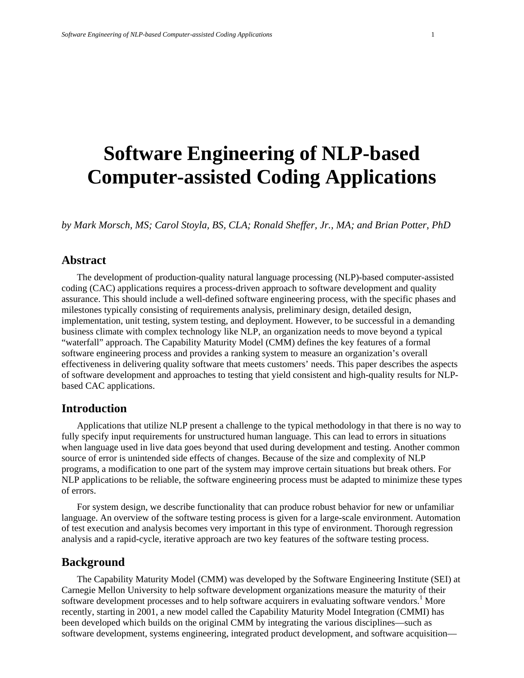# **Software Engineering of NLP-based Computer-assisted Coding Applications**

*by Mark Morsch, MS; Carol Stoyla, BS, CLA; Ronald Sheffer, Jr., MA; and Brian Potter, PhD* 

### **Abstract**

The development of production-quality natural language processing (NLP)-based computer-assisted coding (CAC) applications requires a process-driven approach to software development and quality assurance. This should include a well-defined software engineering process, with the specific phases and milestones typically consisting of requirements analysis, preliminary design, detailed design, implementation, unit testing, system testing, and deployment. However, to be successful in a demanding business climate with complex technology like NLP, an organization needs to move beyond a typical "waterfall" approach. The Capability Maturity Model (CMM) defines the key features of a formal software engineering process and provides a ranking system to measure an organization's overall effectiveness in delivering quality software that meets customers' needs. This paper describes the aspects of software development and approaches to testing that yield consistent and high-quality results for NLPbased CAC applications.

#### **Introduction**

Applications that utilize NLP present a challenge to the typical methodology in that there is no way to fully specify input requirements for unstructured human language. This can lead to errors in situations when language used in live data goes beyond that used during development and testing. Another common source of error is unintended side effects of changes. Because of the size and complexity of NLP programs, a modification to one part of the system may improve certain situations but break others. For NLP applications to be reliable, the software engineering process must be adapted to minimize these types of errors.

For system design, we describe functionality that can produce robust behavior for new or unfamiliar language. An overview of the software testing process is given for a large-scale environment. Automation of test execution and analysis becomes very important in this type of environment. Thorough regression analysis and a rapid-cycle, iterative approach are two key features of the software testing process.

#### **Background**

The Capability Maturity Model (CMM) was developed by the Software Engineering Institute (SEI) at Carnegie Mellon University to help software development organizations measure the maturity of their software development processes and to help software acquirers in evaluating software vendors.<sup>1</sup> More recently, starting in 2001, a new model called the Capability Maturity Model Integration (CMMI) has been developed which builds on the original CMM by integrating the various disciplines—such as software development, systems engineering, integrated product development, and software acquisition—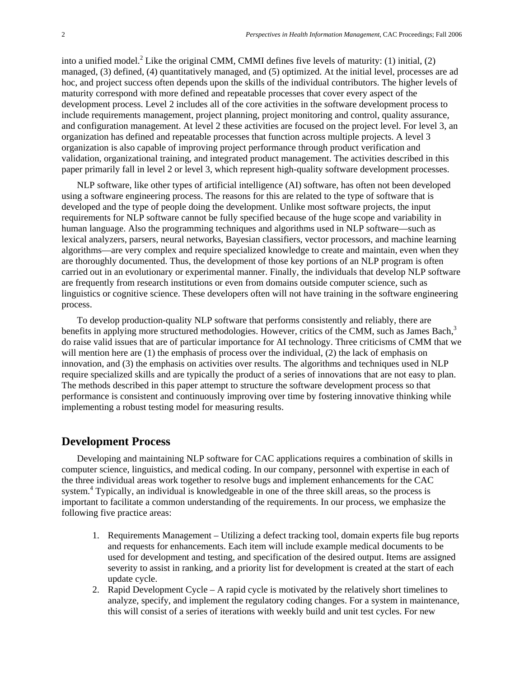into a unified model.<sup>2</sup> Like the original CMM, CMMI defines five levels of maturity: (1) initial, (2) managed, (3) defined, (4) quantitatively managed, and (5) optimized. At the initial level, processes are ad hoc, and project success often depends upon the skills of the individual contributors. The higher levels of maturity correspond with more defined and repeatable processes that cover every aspect of the development process. Level 2 includes all of the core activities in the software development process to include requirements management, project planning, project monitoring and control, quality assurance, and configuration management. At level 2 these activities are focused on the project level. For level 3, an organization has defined and repeatable processes that function across multiple projects. A level 3 organization is also capable of improving project performance through product verification and validation, organizational training, and integrated product management. The activities described in this paper primarily fall in level 2 or level 3, which represent high-quality software development processes.

NLP software, like other types of artificial intelligence (AI) software, has often not been developed using a software engineering process. The reasons for this are related to the type of software that is developed and the type of people doing the development. Unlike most software projects, the input requirements for NLP software cannot be fully specified because of the huge scope and variability in human language. Also the programming techniques and algorithms used in NLP software—such as lexical analyzers, parsers, neural networks, Bayesian classifiers, vector processors, and machine learning algorithms—are very complex and require specialized knowledge to create and maintain, even when they are thoroughly documented. Thus, the development of those key portions of an NLP program is often carried out in an evolutionary or experimental manner. Finally, the individuals that develop NLP software are frequently from research institutions or even from domains outside computer science, such as linguistics or cognitive science. These developers often will not have training in the software engineering process.

To develop production-quality NLP software that performs consistently and reliably, there are benefits in applying more structured methodologies. However, critics of the CMM, such as James Bach,<sup>3</sup> do raise valid issues that are of particular importance for AI technology. Three criticisms of CMM that we will mention here are (1) the emphasis of process over the individual, (2) the lack of emphasis on innovation, and (3) the emphasis on activities over results. The algorithms and techniques used in NLP require specialized skills and are typically the product of a series of innovations that are not easy to plan. The methods described in this paper attempt to structure the software development process so that performance is consistent and continuously improving over time by fostering innovative thinking while implementing a robust testing model for measuring results.

### **Development Process**

Developing and maintaining NLP software for CAC applications requires a combination of skills in computer science, linguistics, and medical coding. In our company, personnel with expertise in each of the three individual areas work together to resolve bugs and implement enhancements for the CAC system.<sup>4</sup> Typically, an individual is knowledgeable in one of the three skill areas, so the process is important to facilitate a common understanding of the requirements. In our process, we emphasize the following five practice areas:

- 1. Requirements Management Utilizing a defect tracking tool, domain experts file bug reports and requests for enhancements. Each item will include example medical documents to be used for development and testing, and specification of the desired output. Items are assigned severity to assist in ranking, and a priority list for development is created at the start of each update cycle.
- 2. Rapid Development Cycle A rapid cycle is motivated by the relatively short timelines to analyze, specify, and implement the regulatory coding changes. For a system in maintenance, this will consist of a series of iterations with weekly build and unit test cycles. For new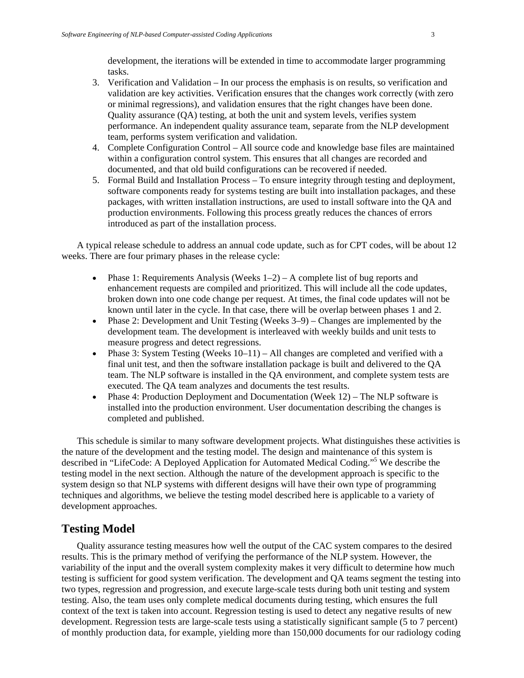development, the iterations will be extended in time to accommodate larger programming tasks.

- 3. Verification and Validation In our process the emphasis is on results, so verification and validation are key activities. Verification ensures that the changes work correctly (with zero or minimal regressions), and validation ensures that the right changes have been done. Quality assurance (QA) testing, at both the unit and system levels, verifies system performance. An independent quality assurance team, separate from the NLP development team, performs system verification and validation.
- 4. Complete Configuration Control All source code and knowledge base files are maintained within a configuration control system. This ensures that all changes are recorded and documented, and that old build configurations can be recovered if needed.
- 5. Formal Build and Installation Process To ensure integrity through testing and deployment, software components ready for systems testing are built into installation packages, and these packages, with written installation instructions, are used to install software into the QA and production environments. Following this process greatly reduces the chances of errors introduced as part of the installation process.

A typical release schedule to address an annual code update, such as for CPT codes, will be about 12 weeks. There are four primary phases in the release cycle:

- Phase 1: Requirements Analysis (Weeks  $1-2$ ) A complete list of bug reports and enhancement requests are compiled and prioritized. This will include all the code updates, broken down into one code change per request. At times, the final code updates will not be known until later in the cycle. In that case, there will be overlap between phases 1 and 2.
- Phase 2: Development and Unit Testing (Weeks 3–9) Changes are implemented by the development team. The development is interleaved with weekly builds and unit tests to measure progress and detect regressions.
- Phase 3: System Testing (Weeks  $10-11$ ) All changes are completed and verified with a final unit test, and then the software installation package is built and delivered to the QA team. The NLP software is installed in the QA environment, and complete system tests are executed. The QA team analyzes and documents the test results.
- Phase 4: Production Deployment and Documentation (Week 12) The NLP software is installed into the production environment. User documentation describing the changes is completed and published.

This schedule is similar to many software development projects. What distinguishes these activities is the nature of the development and the testing model. The design and maintenance of this system is described in "LifeCode: A Deployed Application for Automated Medical Coding."5 We describe the testing model in the next section. Although the nature of the development approach is specific to the system design so that NLP systems with different designs will have their own type of programming techniques and algorithms, we believe the testing model described here is applicable to a variety of development approaches.

## **Testing Model**

Quality assurance testing measures how well the output of the CAC system compares to the desired results. This is the primary method of verifying the performance of the NLP system. However, the variability of the input and the overall system complexity makes it very difficult to determine how much testing is sufficient for good system verification. The development and QA teams segment the testing into two types, regression and progression, and execute large-scale tests during both unit testing and system testing. Also, the team uses only complete medical documents during testing, which ensures the full context of the text is taken into account. Regression testing is used to detect any negative results of new development. Regression tests are large-scale tests using a statistically significant sample (5 to 7 percent) of monthly production data, for example, yielding more than 150,000 documents for our radiology coding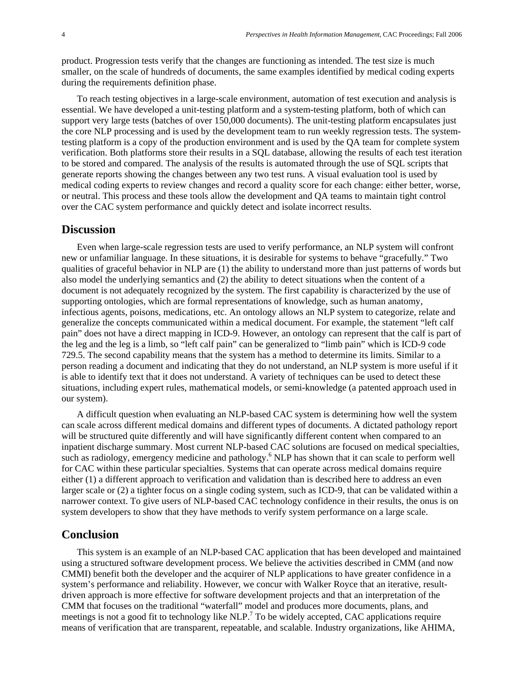product. Progression tests verify that the changes are functioning as intended. The test size is much smaller, on the scale of hundreds of documents, the same examples identified by medical coding experts during the requirements definition phase.

To reach testing objectives in a large-scale environment, automation of test execution and analysis is essential. We have developed a unit-testing platform and a system-testing platform, both of which can support very large tests (batches of over 150,000 documents). The unit-testing platform encapsulates just the core NLP processing and is used by the development team to run weekly regression tests. The systemtesting platform is a copy of the production environment and is used by the QA team for complete system verification. Both platforms store their results in a SQL database, allowing the results of each test iteration to be stored and compared. The analysis of the results is automated through the use of SQL scripts that generate reports showing the changes between any two test runs. A visual evaluation tool is used by medical coding experts to review changes and record a quality score for each change: either better, worse, or neutral. This process and these tools allow the development and QA teams to maintain tight control over the CAC system performance and quickly detect and isolate incorrect results.

#### **Discussion**

Even when large-scale regression tests are used to verify performance, an NLP system will confront new or unfamiliar language. In these situations, it is desirable for systems to behave "gracefully." Two qualities of graceful behavior in NLP are (1) the ability to understand more than just patterns of words but also model the underlying semantics and (2) the ability to detect situations when the content of a document is not adequately recognized by the system. The first capability is characterized by the use of supporting ontologies, which are formal representations of knowledge, such as human anatomy, infectious agents, poisons, medications, etc. An ontology allows an NLP system to categorize, relate and generalize the concepts communicated within a medical document. For example, the statement "left calf pain" does not have a direct mapping in ICD-9. However, an ontology can represent that the calf is part of the leg and the leg is a limb, so "left calf pain" can be generalized to "limb pain" which is ICD-9 code 729.5. The second capability means that the system has a method to determine its limits. Similar to a person reading a document and indicating that they do not understand, an NLP system is more useful if it is able to identify text that it does not understand. A variety of techniques can be used to detect these situations, including expert rules, mathematical models, or semi-knowledge (a patented approach used in our system).

A difficult question when evaluating an NLP-based CAC system is determining how well the system can scale across different medical domains and different types of documents. A dictated pathology report will be structured quite differently and will have significantly different content when compared to an inpatient discharge summary. Most current NLP-based CAC solutions are focused on medical specialties, such as radiology, emergency medicine and pathology.<sup>6</sup> NLP has shown that it can scale to perform well for CAC within these particular specialties. Systems that can operate across medical domains require either (1) a different approach to verification and validation than is described here to address an even larger scale or (2) a tighter focus on a single coding system, such as ICD-9, that can be validated within a narrower context. To give users of NLP-based CAC technology confidence in their results, the onus is on system developers to show that they have methods to verify system performance on a large scale.

#### **Conclusion**

This system is an example of an NLP-based CAC application that has been developed and maintained using a structured software development process. We believe the activities described in CMM (and now CMMI) benefit both the developer and the acquirer of NLP applications to have greater confidence in a system's performance and reliability. However, we concur with Walker Royce that an iterative, resultdriven approach is more effective for software development projects and that an interpretation of the CMM that focuses on the traditional "waterfall" model and produces more documents, plans, and meetings is not a good fit to technology like NLP.<sup>7</sup> To be widely accepted, CAC applications require means of verification that are transparent, repeatable, and scalable. Industry organizations, like AHIMA,